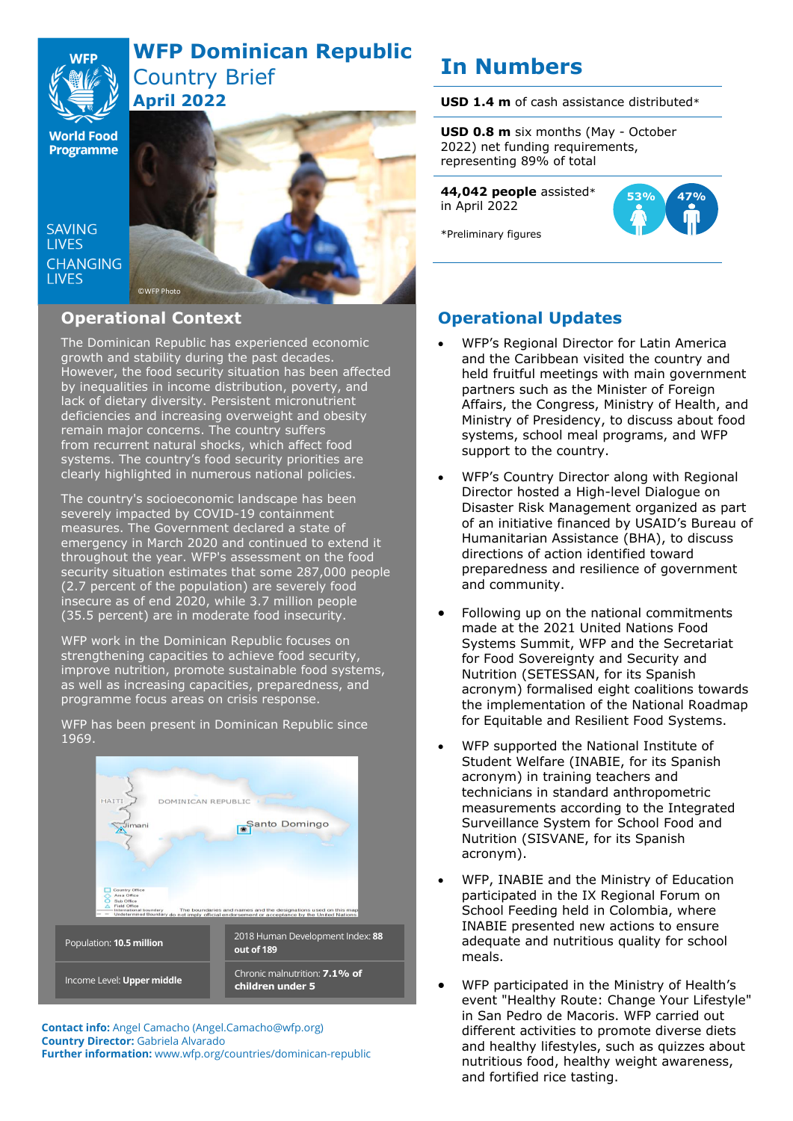## **WFP Dominican Republic** Country Brief

**World Food Programme** 

SAVING **TIVES CHANGING I IVES** 



## **Operational Context**

**April 2022**

The Dominican Republic has experienced economic growth and stability during the past decades. However, the food security situation has been affected by inequalities in income distribution, poverty, and lack of dietary diversity. Persistent micronutrient deficiencies and increasing overweight and obesity remain major concerns. The country suffers from recurrent natural shocks, which affect food systems. The country's food security priorities are clearly highlighted in numerous national policies.

The country's socioeconomic landscape has been severely impacted by COVID-19 containment measures. The Government declared a state of emergency in March 2020 and continued to extend it throughout the year. WFP's assessment on the food security situation estimates that some 287,000 people (2.7 percent of the population) are severely food insecure as of end 2020, while 3.7 million people (35.5 percent) are in moderate food insecurity.

WFP work in the Dominican Republic focuses on strengthening capacities to achieve food security, improve nutrition, promote sustainable food systems, as well as increasing capacities, preparedness, and programme focus areas on crisis response.

WFP has been present in Dominican Republic since 1969.



**Contact info:** Angel Camacho (Angel.Camacho@wfp.org) **Country Director:** Gabriela Alvarado **Further information:** www.wfp.org/countries/dominican-republic

# **In Numbers**

**USD 1.4 m** of cash assistance distributed\*

**USD 0.8 m** six months (May - October 2022) net funding requirements, representing 89% of total

**44,042 people** assisted\* in April 2022



\*Preliminary figures

## **Operational Updates**

- WFP's Regional Director for Latin America and the Caribbean visited the country and held fruitful meetings with main government partners such as the Minister of Foreign Affairs, the Congress, Ministry of Health, and Ministry of Presidency, to discuss about food systems, school meal programs, and WFP support to the country.
- WFP's Country Director along with Regional Director hosted a High-level Dialogue on Disaster Risk Management organized as part of an initiative financed by USAID's Bureau of Humanitarian Assistance (BHA), to discuss directions of action identified toward preparedness and resilience of government and community.
- Following up on the national commitments made at the 2021 United Nations Food Systems Summit, WFP and the Secretariat for Food Sovereignty and Security and Nutrition (SETESSAN, for its Spanish acronym) formalised eight coalitions towards the implementation of the National Roadmap for Equitable and Resilient Food Systems.
- WFP supported the National Institute of Student Welfare (INABIE, for its Spanish acronym) in training teachers and technicians in standard anthropometric measurements according to the Integrated Surveillance System for School Food and Nutrition (SISVANE, for its Spanish acronym).
- WFP, INABIE and the Ministry of Education participated in the IX Regional Forum on School Feeding held in Colombia, where INABIE presented new actions to ensure adequate and nutritious quality for school meals.
- WFP participated in the Ministry of Health's event "Healthy Route: Change Your Lifestyle" in San Pedro de Macoris. WFP carried out different activities to promote diverse diets and healthy lifestyles, such as quizzes about nutritious food, healthy weight awareness, and fortified rice tasting.